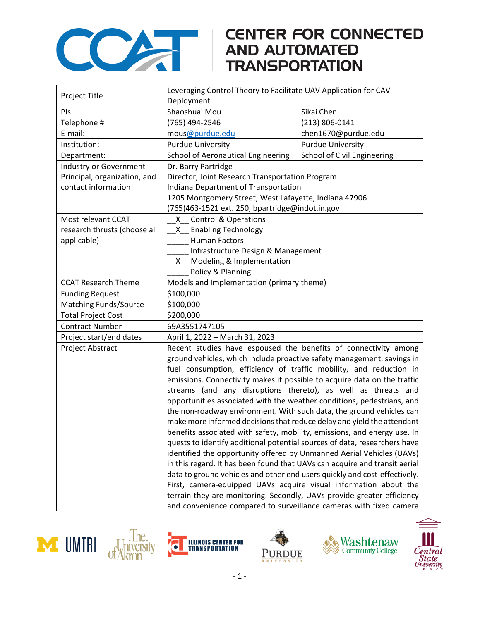

## **CENTER FOR CONNECTED**

| Project Title                | Leveraging Control Theory to Facilitate UAV Application for CAV            |                             |
|------------------------------|----------------------------------------------------------------------------|-----------------------------|
|                              | Deployment                                                                 |                             |
| PIs                          | Shaoshuai Mou                                                              | Sikai Chen                  |
| Telephone #                  | (765) 494-2546                                                             | (213) 806-0141              |
| E-mail:                      | mous@purdue.edu                                                            | chen1670@purdue.edu         |
| Institution:                 | <b>Purdue University</b>                                                   | <b>Purdue University</b>    |
| Department:                  | School of Aeronautical Engineering                                         | School of Civil Engineering |
| Industry or Government       | Dr. Barry Partridge                                                        |                             |
| Principal, organization, and | Director, Joint Research Transportation Program                            |                             |
| contact information          | Indiana Department of Transportation                                       |                             |
|                              | 1205 Montgomery Street, West Lafayette, Indiana 47906                      |                             |
|                              | (765)463-1521 ext. 250, bpartridge@indot.in.gov                            |                             |
| Most relevant CCAT           | X Control & Operations                                                     |                             |
| research thrusts (choose all | X Enabling Technology                                                      |                             |
| applicable)                  | <b>Human Factors</b>                                                       |                             |
|                              | Infrastructure Design & Management                                         |                             |
|                              | X Modeling & Implementation                                                |                             |
|                              | Policy & Planning                                                          |                             |
| <b>CCAT Research Theme</b>   | Models and Implementation (primary theme)                                  |                             |
| <b>Funding Request</b>       | \$100,000                                                                  |                             |
| Matching Funds/Source        | \$100,000                                                                  |                             |
| <b>Total Project Cost</b>    | \$200,000                                                                  |                             |
| <b>Contract Number</b>       | 69A3551747105                                                              |                             |
| Project start/end dates      | April 1, 2022 - March 31, 2023                                             |                             |
| Project Abstract             | Recent studies have espoused the benefits of connectivity among            |                             |
|                              | ground vehicles, which include proactive safety management, savings in     |                             |
|                              | fuel consumption, efficiency of traffic mobility, and reduction in         |                             |
|                              | emissions. Connectivity makes it possible to acquire data on the traffic   |                             |
|                              | streams (and any disruptions thereto), as well as threats and              |                             |
|                              | opportunities associated with the weather conditions, pedestrians, and     |                             |
|                              | the non-roadway environment. With such data, the ground vehicles can       |                             |
|                              | make more informed decisions that reduce delay and yield the attendant     |                             |
|                              | benefits associated with safety, mobility, emissions, and energy use. In   |                             |
|                              | quests to identify additional potential sources of data, researchers have  |                             |
|                              | identified the opportunity offered by Unmanned Aerial Vehicles (UAVs)      |                             |
|                              | in this regard. It has been found that UAVs can acquire and transit aerial |                             |
|                              | data to ground vehicles and other end users quickly and cost-effectively.  |                             |
|                              | First, camera-equipped UAVs acquire visual information about the           |                             |
|                              | terrain they are monitoring. Secondly, UAVs provide greater efficiency     |                             |
|                              | and convenience compared to surveillance cameras with fixed camera         |                             |









Ò



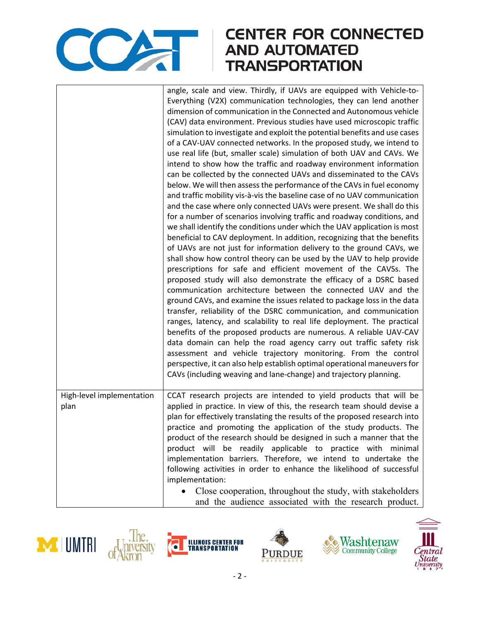

## **CENTER FOR CONNECTED AND AUTOMATED TRANSPORTATION**

|                                   | angle, scale and view. Thirdly, if UAVs are equipped with Vehicle-to-<br>Everything (V2X) communication technologies, they can lend another<br>dimension of communication in the Connected and Autonomous vehicle<br>(CAV) data environment. Previous studies have used microscopic traffic<br>simulation to investigate and exploit the potential benefits and use cases<br>of a CAV-UAV connected networks. In the proposed study, we intend to<br>use real life (but, smaller scale) simulation of both UAV and CAVs. We<br>intend to show how the traffic and roadway environment information<br>can be collected by the connected UAVs and disseminated to the CAVs<br>below. We will then assess the performance of the CAVs in fuel economy<br>and traffic mobility vis-à-vis the baseline case of no UAV communication<br>and the case where only connected UAVs were present. We shall do this<br>for a number of scenarios involving traffic and roadway conditions, and<br>we shall identify the conditions under which the UAV application is most<br>beneficial to CAV deployment. In addition, recognizing that the benefits<br>of UAVs are not just for information delivery to the ground CAVs, we<br>shall show how control theory can be used by the UAV to help provide<br>prescriptions for safe and efficient movement of the CAVSs. The<br>proposed study will also demonstrate the efficacy of a DSRC based<br>communication architecture between the connected UAV and the<br>ground CAVs, and examine the issues related to package loss in the data<br>transfer, reliability of the DSRC communication, and communication<br>ranges, latency, and scalability to real life deployment. The practical<br>benefits of the proposed products are numerous. A reliable UAV-CAV<br>data domain can help the road agency carry out traffic safety risk<br>assessment and vehicle trajectory monitoring. From the control<br>perspective, it can also help establish optimal operational maneuvers for<br>CAVs (including weaving and lane-change) and trajectory planning. |
|-----------------------------------|------------------------------------------------------------------------------------------------------------------------------------------------------------------------------------------------------------------------------------------------------------------------------------------------------------------------------------------------------------------------------------------------------------------------------------------------------------------------------------------------------------------------------------------------------------------------------------------------------------------------------------------------------------------------------------------------------------------------------------------------------------------------------------------------------------------------------------------------------------------------------------------------------------------------------------------------------------------------------------------------------------------------------------------------------------------------------------------------------------------------------------------------------------------------------------------------------------------------------------------------------------------------------------------------------------------------------------------------------------------------------------------------------------------------------------------------------------------------------------------------------------------------------------------------------------------------------------------------------------------------------------------------------------------------------------------------------------------------------------------------------------------------------------------------------------------------------------------------------------------------------------------------------------------------------------------------------------------------------------------------------------------------------------------------------------------------------------------------|
| High-level implementation<br>plan | CCAT research projects are intended to yield products that will be<br>applied in practice. In view of this, the research team should devise a<br>plan for effectively translating the results of the proposed research into<br>practice and promoting the application of the study products. The<br>product of the research should be designed in such a manner that the<br>product will be readily applicable to practice with minimal<br>implementation barriers. Therefore, we intend to undertake the<br>following activities in order to enhance the likelihood of successful<br>implementation:<br>Close cooperation, throughout the study, with stakeholders<br>and the audience associated with the research product.                                                                                                                                                                                                                                                                                                                                                                                                                                                                                                                                                                                                                                                                                                                                                                                                                                                                                                                                                                                                                                                                                                                                                                                                                                                                                                                                                                  |









Ò